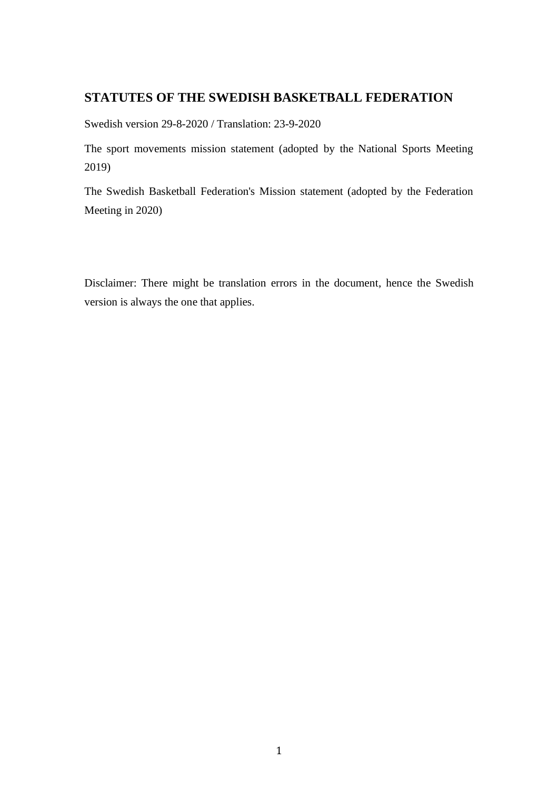# <span id="page-0-0"></span>**STATUTES OF THE SWEDISH BASKETBALL FEDERATION**

Swedish version 29-8-2020 / Translation: 23-9-2020

The sport movements mission statement (adopted by the National Sports Meeting 2019)

The Swedish Basketball Federation's Mission statement (adopted by the Federation Meeting in 2020)

Disclaimer: There might be translation errors in the document, hence the Swedish version is always the one that applies.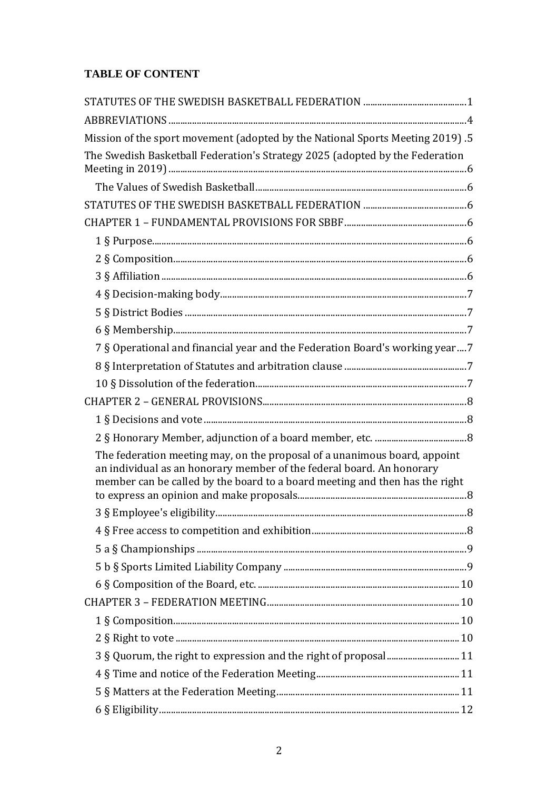# **TABLE OF CONTENT**

| Mission of the sport movement (adopted by the National Sports Meeting 2019).5                                                                                                                                                     |   |
|-----------------------------------------------------------------------------------------------------------------------------------------------------------------------------------------------------------------------------------|---|
| The Swedish Basketball Federation's Strategy 2025 (adopted by the Federation                                                                                                                                                      |   |
|                                                                                                                                                                                                                                   |   |
|                                                                                                                                                                                                                                   |   |
|                                                                                                                                                                                                                                   |   |
|                                                                                                                                                                                                                                   |   |
|                                                                                                                                                                                                                                   |   |
|                                                                                                                                                                                                                                   |   |
|                                                                                                                                                                                                                                   |   |
|                                                                                                                                                                                                                                   |   |
|                                                                                                                                                                                                                                   |   |
|                                                                                                                                                                                                                                   |   |
| 7 § Operational and financial year and the Federation Board's working year7                                                                                                                                                       |   |
|                                                                                                                                                                                                                                   |   |
|                                                                                                                                                                                                                                   |   |
|                                                                                                                                                                                                                                   |   |
|                                                                                                                                                                                                                                   |   |
|                                                                                                                                                                                                                                   |   |
| The federation meeting may, on the proposal of a unanimous board, appoint<br>an individual as an honorary member of the federal board. An honorary<br>member can be called by the board to a board meeting and then has the right |   |
|                                                                                                                                                                                                                                   | 8 |
|                                                                                                                                                                                                                                   |   |
|                                                                                                                                                                                                                                   |   |
|                                                                                                                                                                                                                                   |   |
|                                                                                                                                                                                                                                   |   |
|                                                                                                                                                                                                                                   |   |
|                                                                                                                                                                                                                                   |   |
|                                                                                                                                                                                                                                   |   |
| 3 § Quorum, the right to expression and the right of proposal 11                                                                                                                                                                  |   |
|                                                                                                                                                                                                                                   |   |
|                                                                                                                                                                                                                                   |   |
|                                                                                                                                                                                                                                   |   |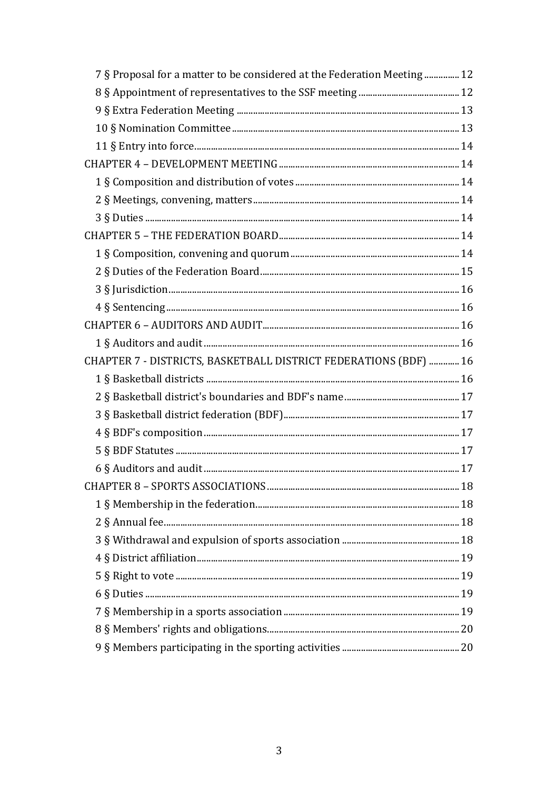| 7 § Proposal for a matter to be considered at the Federation Meeting  12 |  |
|--------------------------------------------------------------------------|--|
|                                                                          |  |
|                                                                          |  |
|                                                                          |  |
|                                                                          |  |
|                                                                          |  |
|                                                                          |  |
|                                                                          |  |
|                                                                          |  |
|                                                                          |  |
|                                                                          |  |
|                                                                          |  |
|                                                                          |  |
|                                                                          |  |
|                                                                          |  |
|                                                                          |  |
| CHAPTER 7 - DISTRICTS, BASKETBALL DISTRICT FEDERATIONS (BDF)  16         |  |
|                                                                          |  |
|                                                                          |  |
|                                                                          |  |
|                                                                          |  |
|                                                                          |  |
|                                                                          |  |
|                                                                          |  |
|                                                                          |  |
|                                                                          |  |
|                                                                          |  |
|                                                                          |  |
|                                                                          |  |
|                                                                          |  |
|                                                                          |  |
|                                                                          |  |
|                                                                          |  |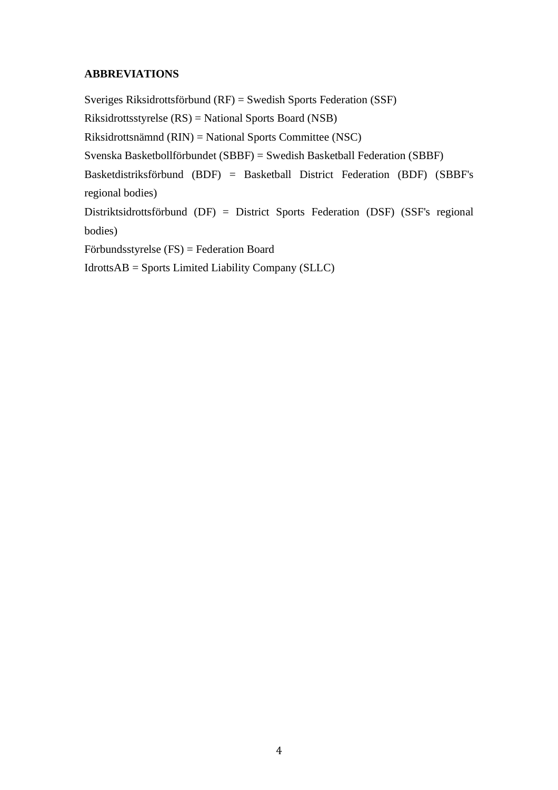# <span id="page-3-0"></span>**ABBREVIATIONS**

Sveriges Riksidrottsförbund (RF) = Swedish Sports Federation (SSF) Riksidrottsstyrelse (RS) = National Sports Board (NSB) Riksidrottsnämnd (RIN) = National Sports Committee (NSC) Svenska Basketbollförbundet (SBBF) = Swedish Basketball Federation (SBBF) Basketdistriksförbund (BDF) = Basketball District Federation (BDF) (SBBF's regional bodies) Distriktsidrottsförbund (DF) = District Sports Federation (DSF) (SSF's regional bodies) Förbundsstyrelse (FS) = Federation Board

IdrottsAB = Sports Limited Liability Company (SLLC)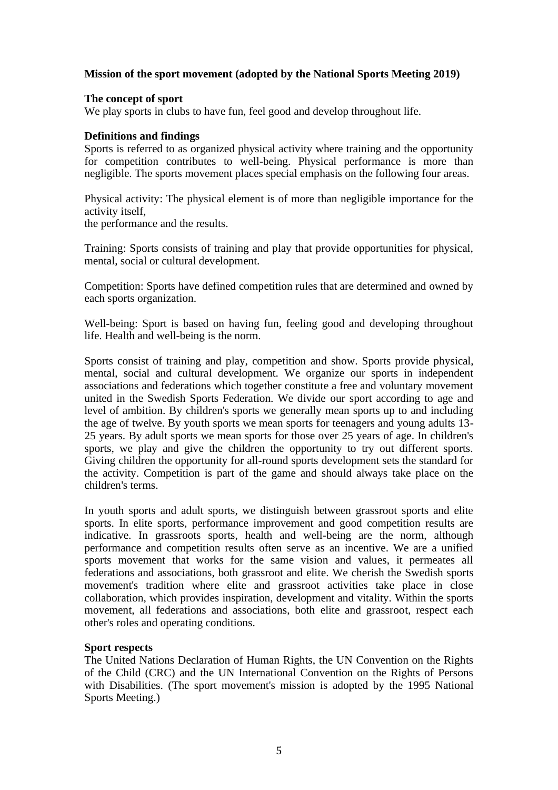# <span id="page-4-0"></span>**Mission of the sport movement (adopted by the National Sports Meeting 2019)**

### **The concept of sport**

We play sports in clubs to have fun, feel good and develop throughout life.

### **Definitions and findings**

Sports is referred to as organized physical activity where training and the opportunity for competition contributes to well-being. Physical performance is more than negligible. The sports movement places special emphasis on the following four areas.

Physical activity: The physical element is of more than negligible importance for the activity itself,

the performance and the results.

Training: Sports consists of training and play that provide opportunities for physical, mental, social or cultural development.

Competition: Sports have defined competition rules that are determined and owned by each sports organization.

Well-being: Sport is based on having fun, feeling good and developing throughout life. Health and well-being is the norm.

Sports consist of training and play, competition and show. Sports provide physical, mental, social and cultural development. We organize our sports in independent associations and federations which together constitute a free and voluntary movement united in the Swedish Sports Federation. We divide our sport according to age and level of ambition. By children's sports we generally mean sports up to and including the age of twelve. By youth sports we mean sports for teenagers and young adults 13- 25 years. By adult sports we mean sports for those over 25 years of age. In children's sports, we play and give the children the opportunity to try out different sports. Giving children the opportunity for all-round sports development sets the standard for the activity. Competition is part of the game and should always take place on the children's terms.

In youth sports and adult sports, we distinguish between grassroot sports and elite sports. In elite sports, performance improvement and good competition results are indicative. In grassroots sports, health and well-being are the norm, although performance and competition results often serve as an incentive. We are a unified sports movement that works for the same vision and values, it permeates all federations and associations, both grassroot and elite. We cherish the Swedish sports movement's tradition where elite and grassroot activities take place in close collaboration, which provides inspiration, development and vitality. Within the sports movement, all federations and associations, both elite and grassroot, respect each other's roles and operating conditions.

## **Sport respects**

The United Nations Declaration of Human Rights, the UN Convention on the Rights of the Child (CRC) and the UN International Convention on the Rights of Persons with Disabilities. (The sport movement's mission is adopted by the 1995 National Sports Meeting.)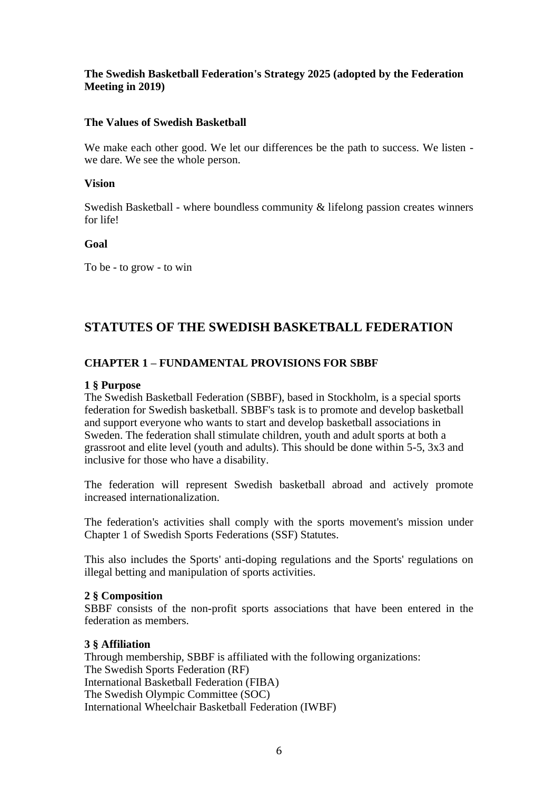# <span id="page-5-0"></span>**The Swedish Basketball Federation's Strategy 2025 (adopted by the Federation Meeting in 2019)**

## <span id="page-5-1"></span>**The Values of Swedish Basketball**

We make each other good. We let our differences be the path to success. We listen we dare. We see the whole person.

### **Vision**

Swedish Basketball - where boundless community & lifelong passion creates winners for life!

### **Goal**

To be - to grow - to win

# <span id="page-5-3"></span><span id="page-5-2"></span>**STATUTES OF THE SWEDISH BASKETBALL FEDERATION**

# **CHAPTER 1 – FUNDAMENTAL PROVISIONS FOR SBBF**

### <span id="page-5-4"></span>**1 § Purpose**

The Swedish Basketball Federation (SBBF), based in Stockholm, is a special sports federation for Swedish basketball. SBBF's task is to promote and develop basketball and support everyone who wants to start and develop basketball associations in Sweden. The federation shall stimulate children, youth and adult sports at both a grassroot and elite level (youth and adults). This should be done within 5-5, 3x3 and inclusive for those who have a disability.

The federation will represent Swedish basketball abroad and actively promote increased internationalization.

The federation's activities shall comply with the sports movement's mission under Chapter 1 of Swedish Sports Federations (SSF) Statutes.

This also includes the Sports' anti-doping regulations and the Sports' regulations on illegal betting and manipulation of sports activities.

#### <span id="page-5-5"></span>**2 § Composition**

SBBF consists of the non-profit sports associations that have been entered in the federation as members.

# <span id="page-5-6"></span>**3 § Affiliation**

Through membership, SBBF is affiliated with the following organizations: The Swedish Sports Federation (RF) International Basketball Federation (FIBA) The Swedish Olympic Committee (SOC) International Wheelchair Basketball Federation (IWBF)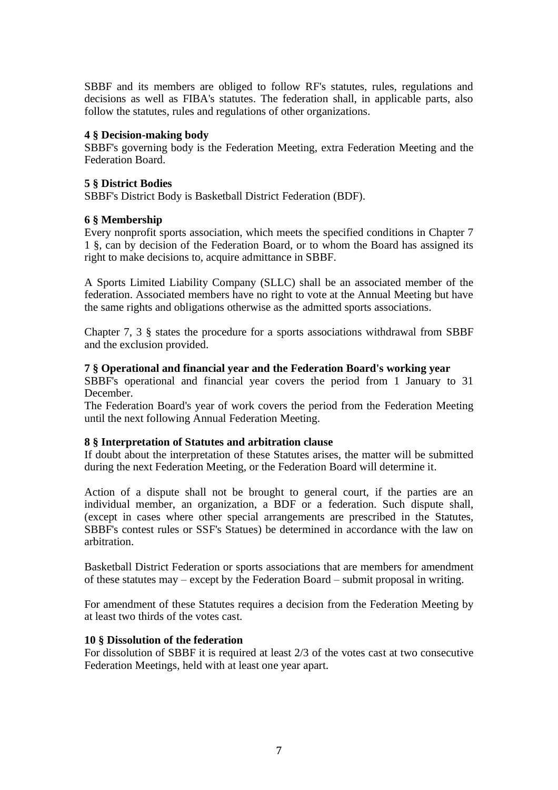SBBF and its members are obliged to follow RF's statutes, rules, regulations and decisions as well as FIBA's statutes. The federation shall, in applicable parts, also follow the statutes, rules and regulations of other organizations.

## <span id="page-6-0"></span>**4 § Decision-making body**

SBBF's governing body is the Federation Meeting, extra Federation Meeting and the Federation Board.

### <span id="page-6-1"></span>**5 § District Bodies**

SBBF's District Body is Basketball District Federation (BDF).

### <span id="page-6-2"></span>**6 § Membership**

Every nonprofit sports association, which meets the specified conditions in Chapter 7 1 §, can by decision of the Federation Board, or to whom the Board has assigned its right to make decisions to, acquire admittance in SBBF.

A Sports Limited Liability Company (SLLC) shall be an associated member of the federation. Associated members have no right to vote at the Annual Meeting but have the same rights and obligations otherwise as the admitted sports associations.

Chapter 7, 3 § states the procedure for a sports associations withdrawal from SBBF and the exclusion provided.

### <span id="page-6-3"></span>**7 § Operational and financial year and the Federation Board's working year**

SBBF's operational and financial year covers the period from 1 January to 31 December.

The Federation Board's year of work covers the period from the Federation Meeting until the next following Annual Federation Meeting.

#### <span id="page-6-4"></span>**8 § Interpretation of Statutes and arbitration clause**

If doubt about the interpretation of these Statutes arises, the matter will be submitted during the next Federation Meeting, or the Federation Board will determine it.

Action of a dispute shall not be brought to general court, if the parties are an individual member, an organization, a BDF or a federation. Such dispute shall, (except in cases where other special arrangements are prescribed in the Statutes, SBBF's contest rules or SSF's Statues) be determined in accordance with the law on arbitration.

Basketball District Federation or sports associations that are members for amendment of these statutes may – except by the Federation Board – submit proposal in writing.

For amendment of these Statutes requires a decision from the Federation Meeting by at least two thirds of the votes cast.

#### <span id="page-6-5"></span>**10 § Dissolution of the federation**

For dissolution of SBBF it is required at least 2/3 of the votes cast at two consecutive Federation Meetings, held with at least one year apart.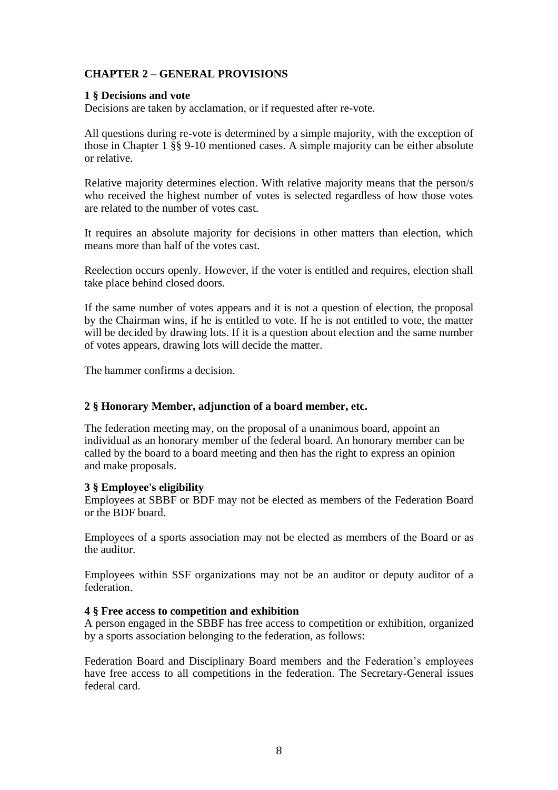# <span id="page-7-0"></span>**CHAPTER 2 – GENERAL PROVISIONS**

# <span id="page-7-1"></span>**1 § Decisions and vote**

Decisions are taken by acclamation, or if requested after re-vote.

All questions during re-vote is determined by a simple majority, with the exception of those in Chapter 1 §§ 9-10 mentioned cases. A simple majority can be either absolute or relative.

Relative majority determines election. With relative majority means that the person/s who received the highest number of votes is selected regardless of how those votes are related to the number of votes cast.

It requires an absolute majority for decisions in other matters than election, which means more than half of the votes cast.

Reelection occurs openly. However, if the voter is entitled and requires, election shall take place behind closed doors.

If the same number of votes appears and it is not a question of election, the proposal by the Chairman wins, if he is entitled to vote. If he is not entitled to vote, the matter will be decided by drawing lots. If it is a question about election and the same number of votes appears, drawing lots will decide the matter.

The hammer confirms a decision.

# <span id="page-7-2"></span>**2 § Honorary Member, adjunction of a board member, etc.**

<span id="page-7-3"></span>The federation meeting may, on the proposal of a unanimous board, appoint an individual as an honorary member of the federal board. An honorary member can be called by the board to a board meeting and then has the right to express an opinion and make proposals.

## <span id="page-7-4"></span>**3 § Employee's eligibility**

Employees at SBBF or BDF may not be elected as members of the Federation Board or the BDF board.

Employees of a sports association may not be elected as members of the Board or as the auditor.

Employees within SSF organizations may not be an auditor or deputy auditor of a federation.

## <span id="page-7-5"></span>**4 § Free access to competition and exhibition**

A person engaged in the SBBF has free access to competition or exhibition, organized by a sports association belonging to the federation, as follows:

Federation Board and Disciplinary Board members and the Federation's employees have free access to all competitions in the federation. The Secretary-General issues federal card.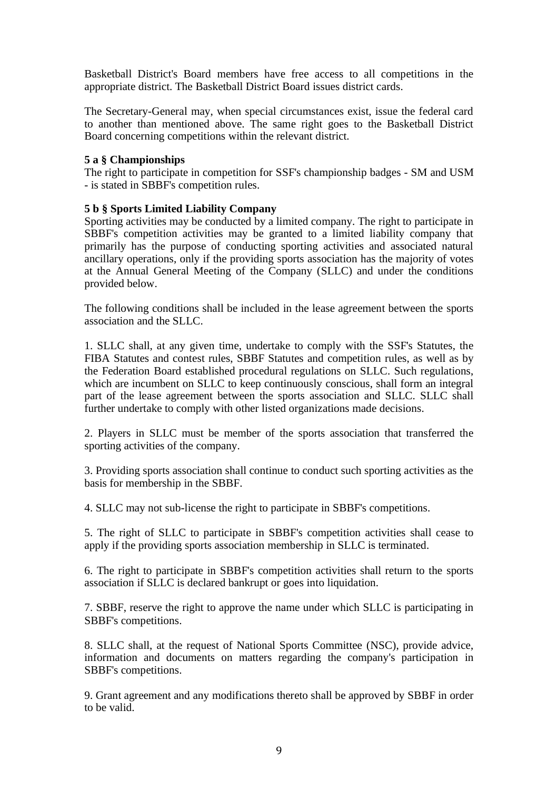Basketball District's Board members have free access to all competitions in the appropriate district. The Basketball District Board issues district cards.

The Secretary-General may, when special circumstances exist, issue the federal card to another than mentioned above. The same right goes to the Basketball District Board concerning competitions within the relevant district.

### <span id="page-8-0"></span>**5 a § Championships**

The right to participate in competition for SSF's championship badges - SM and USM - is stated in SBBF's competition rules.

## <span id="page-8-1"></span>**5 b § Sports Limited Liability Company**

Sporting activities may be conducted by a limited company. The right to participate in SBBF's competition activities may be granted to a limited liability company that primarily has the purpose of conducting sporting activities and associated natural ancillary operations, only if the providing sports association has the majority of votes at the Annual General Meeting of the Company (SLLC) and under the conditions provided below.

The following conditions shall be included in the lease agreement between the sports association and the SLLC.

1. SLLC shall, at any given time, undertake to comply with the SSF's Statutes, the FIBA Statutes and contest rules, SBBF Statutes and competition rules, as well as by the Federation Board established procedural regulations on SLLC. Such regulations, which are incumbent on SLLC to keep continuously conscious, shall form an integral part of the lease agreement between the sports association and SLLC. SLLC shall further undertake to comply with other listed organizations made decisions.

2. Players in SLLC must be member of the sports association that transferred the sporting activities of the company.

3. Providing sports association shall continue to conduct such sporting activities as the basis for membership in the SBBF.

4. SLLC may not sub-license the right to participate in SBBF's competitions.

5. The right of SLLC to participate in SBBF's competition activities shall cease to apply if the providing sports association membership in SLLC is terminated.

6. The right to participate in SBBF's competition activities shall return to the sports association if SLLC is declared bankrupt or goes into liquidation.

7. SBBF, reserve the right to approve the name under which SLLC is participating in SBBF's competitions.

8. SLLC shall, at the request of National Sports Committee (NSC), provide advice, information and documents on matters regarding the company's participation in SBBF's competitions.

9. Grant agreement and any modifications thereto shall be approved by SBBF in order to be valid.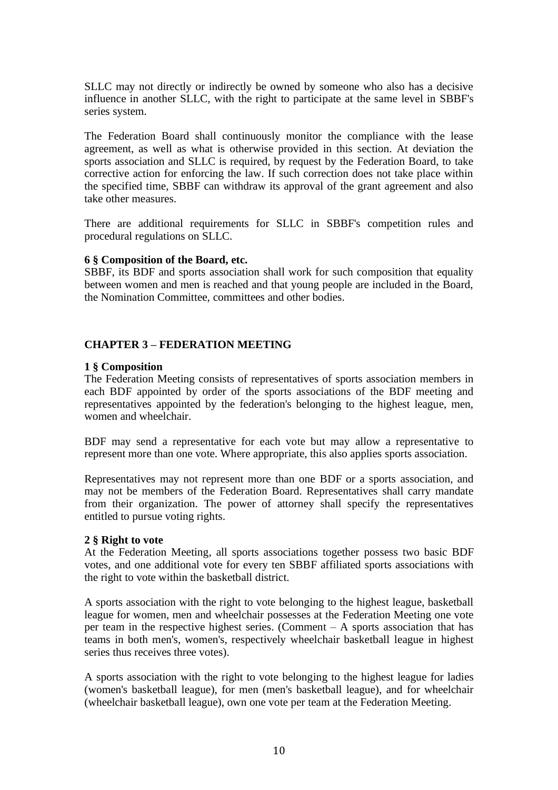SLLC may not directly or indirectly be owned by someone who also has a decisive influence in another SLLC, with the right to participate at the same level in SBBF's series system.

The Federation Board shall continuously monitor the compliance with the lease agreement, as well as what is otherwise provided in this section. At deviation the sports association and SLLC is required, by request by the Federation Board, to take corrective action for enforcing the law. If such correction does not take place within the specified time, SBBF can withdraw its approval of the grant agreement and also take other measures.

There are additional requirements for SLLC in SBBF's competition rules and procedural regulations on SLLC.

### <span id="page-9-0"></span>**6 § Composition of the Board, etc.**

SBBF, its BDF and sports association shall work for such composition that equality between women and men is reached and that young people are included in the Board, the Nomination Committee, committees and other bodies.

# <span id="page-9-1"></span>**CHAPTER 3 – FEDERATION MEETING**

### <span id="page-9-2"></span>**1 § Composition**

The Federation Meeting consists of representatives of sports association members in each BDF appointed by order of the sports associations of the BDF meeting and representatives appointed by the federation's belonging to the highest league, men, women and wheelchair.

BDF may send a representative for each vote but may allow a representative to represent more than one vote. Where appropriate, this also applies sports association.

Representatives may not represent more than one BDF or a sports association, and may not be members of the Federation Board. Representatives shall carry mandate from their organization. The power of attorney shall specify the representatives entitled to pursue voting rights.

#### <span id="page-9-3"></span>**2 § Right to vote**

At the Federation Meeting, all sports associations together possess two basic BDF votes, and one additional vote for every ten SBBF affiliated sports associations with the right to vote within the basketball district.

A sports association with the right to vote belonging to the highest league, basketball league for women, men and wheelchair possesses at the Federation Meeting one vote per team in the respective highest series. (Comment – A sports association that has teams in both men's, women's, respectively wheelchair basketball league in highest series thus receives three votes).

A sports association with the right to vote belonging to the highest league for ladies (women's basketball league), for men (men's basketball league), and for wheelchair (wheelchair basketball league), own one vote per team at the Federation Meeting.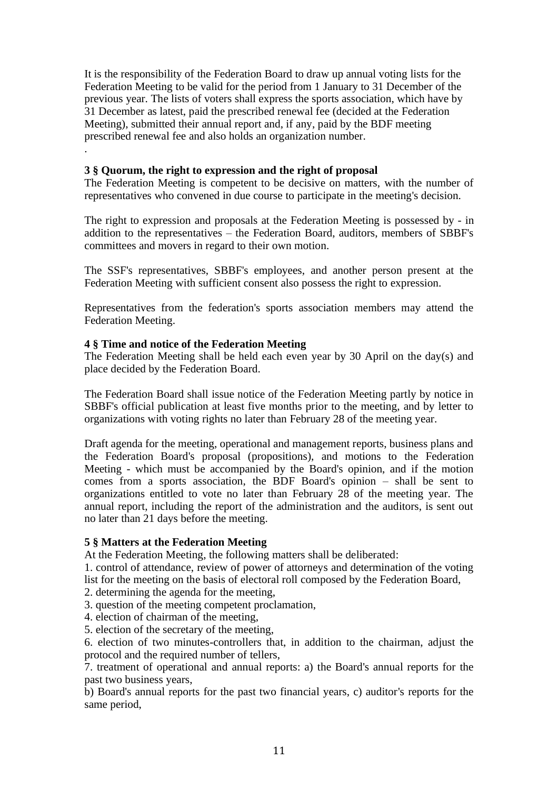It is the responsibility of the Federation Board to draw up annual voting lists for the Federation Meeting to be valid for the period from 1 January to 31 December of the previous year. The lists of voters shall express the sports association, which have by 31 December as latest, paid the prescribed renewal fee (decided at the Federation Meeting), submitted their annual report and, if any, paid by the BDF meeting prescribed renewal fee and also holds an organization number.

# <span id="page-10-0"></span>**3 § Quorum, the right to expression and the right of proposal**

The Federation Meeting is competent to be decisive on matters, with the number of representatives who convened in due course to participate in the meeting's decision.

The right to expression and proposals at the Federation Meeting is possessed by - in addition to the representatives – the Federation Board, auditors, members of SBBF's committees and movers in regard to their own motion.

The SSF's representatives, SBBF's employees, and another person present at the Federation Meeting with sufficient consent also possess the right to expression.

Representatives from the federation's sports association members may attend the Federation Meeting.

# <span id="page-10-1"></span>**4 § Time and notice of the Federation Meeting**

.

The Federation Meeting shall be held each even year by 30 April on the day(s) and place decided by the Federation Board.

The Federation Board shall issue notice of the Federation Meeting partly by notice in SBBF's official publication at least five months prior to the meeting, and by letter to organizations with voting rights no later than February 28 of the meeting year.

Draft agenda for the meeting, operational and management reports, business plans and the Federation Board's proposal (propositions), and motions to the Federation Meeting - which must be accompanied by the Board's opinion, and if the motion comes from a sports association, the BDF Board's opinion – shall be sent to organizations entitled to vote no later than February 28 of the meeting year. The annual report, including the report of the administration and the auditors, is sent out no later than 21 days before the meeting.

# <span id="page-10-2"></span>**5 § Matters at the Federation Meeting**

At the Federation Meeting, the following matters shall be deliberated:

1. control of attendance, review of power of attorneys and determination of the voting list for the meeting on the basis of electoral roll composed by the Federation Board,

2. determining the agenda for the meeting,

3. question of the meeting competent proclamation,

4. election of chairman of the meeting,

5. election of the secretary of the meeting,

6. election of two minutes-controllers that, in addition to the chairman, adjust the protocol and the required number of tellers,

7. treatment of operational and annual reports: a) the Board's annual reports for the past two business years,

b) Board's annual reports for the past two financial years, c) auditor's reports for the same period,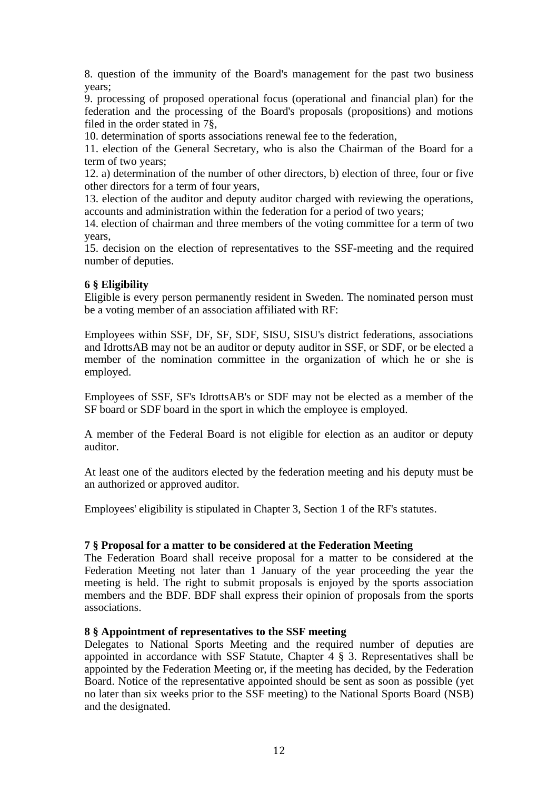8. question of the immunity of the Board's management for the past two business years;

9. processing of proposed operational focus (operational and financial plan) for the federation and the processing of the Board's proposals (propositions) and motions filed in the order stated in 7§,

10. determination of sports associations renewal fee to the federation,

11. election of the General Secretary, who is also the Chairman of the Board for a term of two years;

12. a) determination of the number of other directors, b) election of three, four or five other directors for a term of four years,

13. election of the auditor and deputy auditor charged with reviewing the operations, accounts and administration within the federation for a period of two years;

14. election of chairman and three members of the voting committee for a term of two years,

15. decision on the election of representatives to the SSF-meeting and the required number of deputies.

## <span id="page-11-0"></span>**6 § Eligibility**

Eligible is every person permanently resident in Sweden. The nominated person must be a voting member of an association affiliated with RF:

Employees within SSF, DF, SF, SDF, SISU, SISU's district federations, associations and IdrottsAB may not be an auditor or deputy auditor in SSF, or SDF, or be elected a member of the nomination committee in the organization of which he or she is employed.

Employees of SSF, SF's IdrottsAB's or SDF may not be elected as a member of the SF board or SDF board in the sport in which the employee is employed.

A member of the Federal Board is not eligible for election as an auditor or deputy auditor.

At least one of the auditors elected by the federation meeting and his deputy must be an authorized or approved auditor.

Employees' eligibility is stipulated in Chapter 3, Section 1 of the RF's statutes.

#### <span id="page-11-1"></span>**7 § Proposal for a matter to be considered at the Federation Meeting**

The Federation Board shall receive proposal for a matter to be considered at the Federation Meeting not later than 1 January of the year proceeding the year the meeting is held. The right to submit proposals is enjoyed by the sports association members and the BDF. BDF shall express their opinion of proposals from the sports associations.

#### <span id="page-11-2"></span>**8 § Appointment of representatives to the SSF meeting**

Delegates to National Sports Meeting and the required number of deputies are appointed in accordance with SSF Statute, Chapter 4 § 3. Representatives shall be appointed by the Federation Meeting or, if the meeting has decided, by the Federation Board. Notice of the representative appointed should be sent as soon as possible (yet no later than six weeks prior to the SSF meeting) to the National Sports Board (NSB) and the designated.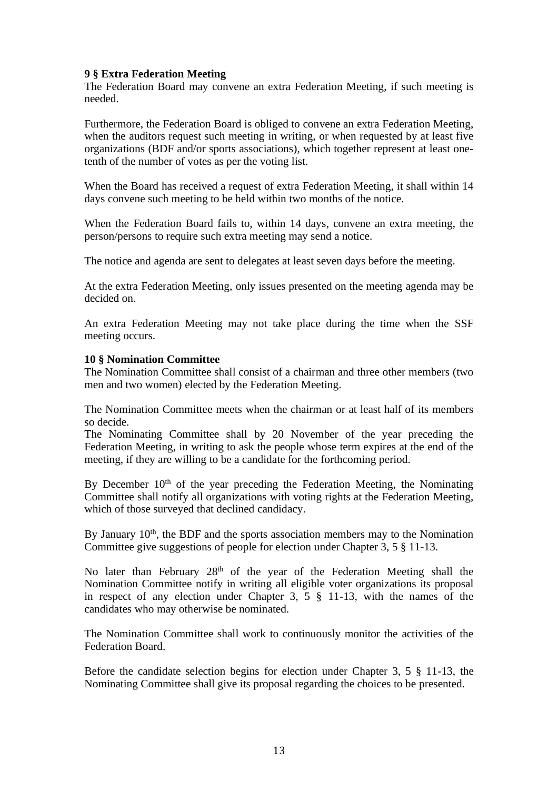### <span id="page-12-0"></span>**9 § Extra Federation Meeting**

The Federation Board may convene an extra Federation Meeting, if such meeting is needed.

Furthermore, the Federation Board is obliged to convene an extra Federation Meeting, when the auditors request such meeting in writing, or when requested by at least five organizations (BDF and/or sports associations), which together represent at least onetenth of the number of votes as per the voting list.

When the Board has received a request of extra Federation Meeting, it shall within 14 days convene such meeting to be held within two months of the notice.

When the Federation Board fails to, within 14 days, convene an extra meeting, the person/persons to require such extra meeting may send a notice.

The notice and agenda are sent to delegates at least seven days before the meeting.

At the extra Federation Meeting, only issues presented on the meeting agenda may be decided on.

An extra Federation Meeting may not take place during the time when the SSF meeting occurs.

#### <span id="page-12-1"></span>**10 § Nomination Committee**

The Nomination Committee shall consist of a chairman and three other members (two men and two women) elected by the Federation Meeting.

The Nomination Committee meets when the chairman or at least half of its members so decide.

The Nominating Committee shall by 20 November of the year preceding the Federation Meeting, in writing to ask the people whose term expires at the end of the meeting, if they are willing to be a candidate for the forthcoming period.

By December 10<sup>th</sup> of the year preceding the Federation Meeting, the Nominating Committee shall notify all organizations with voting rights at the Federation Meeting, which of those surveyed that declined candidacy.

By January  $10<sup>th</sup>$ , the BDF and the sports association members may to the Nomination Committee give suggestions of people for election under Chapter 3, 5 § 11-13.

No later than February 28<sup>th</sup> of the year of the Federation Meeting shall the Nomination Committee notify in writing all eligible voter organizations its proposal in respect of any election under Chapter 3, 5 § 11-13, with the names of the candidates who may otherwise be nominated.

The Nomination Committee shall work to continuously monitor the activities of the Federation Board.

Before the candidate selection begins for election under Chapter 3, 5 § 11-13, the Nominating Committee shall give its proposal regarding the choices to be presented.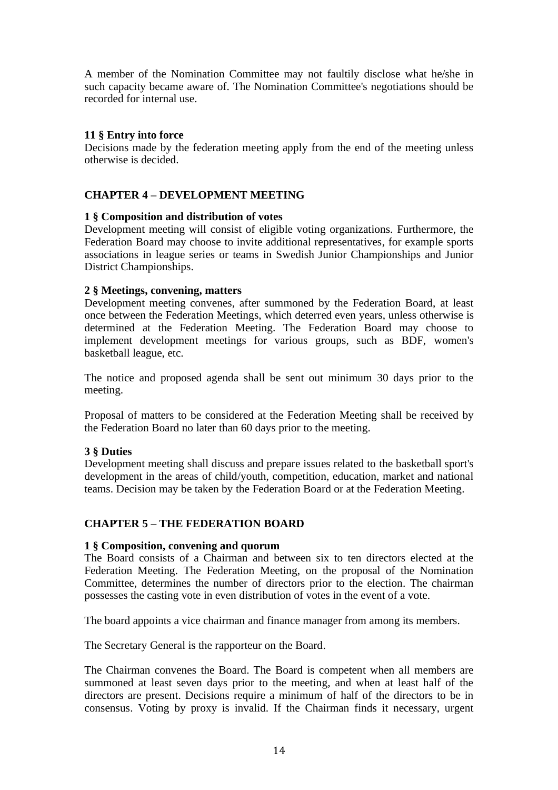A member of the Nomination Committee may not faultily disclose what he/she in such capacity became aware of. The Nomination Committee's negotiations should be recorded for internal use.

# <span id="page-13-0"></span>**11 § Entry into force**

Decisions made by the federation meeting apply from the end of the meeting unless otherwise is decided.

# <span id="page-13-1"></span>**CHAPTER 4 – DEVELOPMENT MEETING**

## <span id="page-13-2"></span>**1 § Composition and distribution of votes**

Development meeting will consist of eligible voting organizations. Furthermore, the Federation Board may choose to invite additional representatives, for example sports associations in league series or teams in Swedish Junior Championships and Junior District Championships.

## <span id="page-13-3"></span>**2 § Meetings, convening, matters**

Development meeting convenes, after summoned by the Federation Board, at least once between the Federation Meetings, which deterred even years, unless otherwise is determined at the Federation Meeting. The Federation Board may choose to implement development meetings for various groups, such as BDF, women's basketball league, etc.

The notice and proposed agenda shall be sent out minimum 30 days prior to the meeting.

Proposal of matters to be considered at the Federation Meeting shall be received by the Federation Board no later than 60 days prior to the meeting.

## <span id="page-13-4"></span>**3 § Duties**

Development meeting shall discuss and prepare issues related to the basketball sport's development in the areas of child/youth, competition, education, market and national teams. Decision may be taken by the Federation Board or at the Federation Meeting.

## <span id="page-13-5"></span>**CHAPTER 5 – THE FEDERATION BOARD**

#### <span id="page-13-6"></span>**1 § Composition, convening and quorum**

The Board consists of a Chairman and between six to ten directors elected at the Federation Meeting. The Federation Meeting, on the proposal of the Nomination Committee, determines the number of directors prior to the election. The chairman possesses the casting vote in even distribution of votes in the event of a vote.

The board appoints a vice chairman and finance manager from among its members.

The Secretary General is the rapporteur on the Board.

The Chairman convenes the Board. The Board is competent when all members are summoned at least seven days prior to the meeting, and when at least half of the directors are present. Decisions require a minimum of half of the directors to be in consensus. Voting by proxy is invalid. If the Chairman finds it necessary, urgent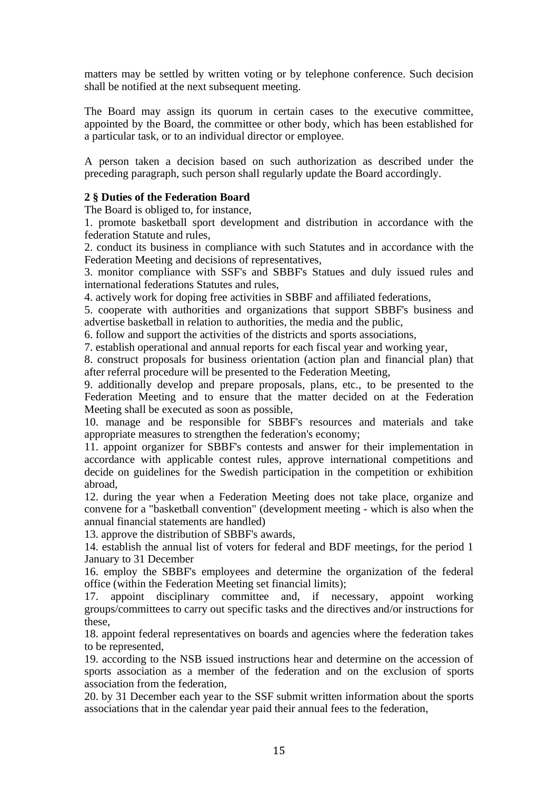matters may be settled by written voting or by telephone conference. Such decision shall be notified at the next subsequent meeting.

The Board may assign its quorum in certain cases to the executive committee, appointed by the Board, the committee or other body, which has been established for a particular task, or to an individual director or employee.

A person taken a decision based on such authorization as described under the preceding paragraph, such person shall regularly update the Board accordingly.

# <span id="page-14-0"></span>**2 § Duties of the Federation Board**

The Board is obliged to, for instance,

1. promote basketball sport development and distribution in accordance with the federation Statute and rules,

2. conduct its business in compliance with such Statutes and in accordance with the Federation Meeting and decisions of representatives,

3. monitor compliance with SSF's and SBBF's Statues and duly issued rules and international federations Statutes and rules,

4. actively work for doping free activities in SBBF and affiliated federations,

5. cooperate with authorities and organizations that support SBBF's business and advertise basketball in relation to authorities, the media and the public,

6. follow and support the activities of the districts and sports associations,

7. establish operational and annual reports for each fiscal year and working year,

8. construct proposals for business orientation (action plan and financial plan) that after referral procedure will be presented to the Federation Meeting,

9. additionally develop and prepare proposals, plans, etc., to be presented to the Federation Meeting and to ensure that the matter decided on at the Federation Meeting shall be executed as soon as possible,

10. manage and be responsible for SBBF's resources and materials and take appropriate measures to strengthen the federation's economy;

11. appoint organizer for SBBF's contests and answer for their implementation in accordance with applicable contest rules, approve international competitions and decide on guidelines for the Swedish participation in the competition or exhibition abroad,

12. during the year when a Federation Meeting does not take place, organize and convene for a "basketball convention" (development meeting - which is also when the annual financial statements are handled)

13. approve the distribution of SBBF's awards,

14. establish the annual list of voters for federal and BDF meetings, for the period 1 January to 31 December

16. employ the SBBF's employees and determine the organization of the federal office (within the Federation Meeting set financial limits);

17. appoint disciplinary committee and, if necessary, appoint working groups/committees to carry out specific tasks and the directives and/or instructions for these,

18. appoint federal representatives on boards and agencies where the federation takes to be represented,

19. according to the NSB issued instructions hear and determine on the accession of sports association as a member of the federation and on the exclusion of sports association from the federation,

20. by 31 December each year to the SSF submit written information about the sports associations that in the calendar year paid their annual fees to the federation,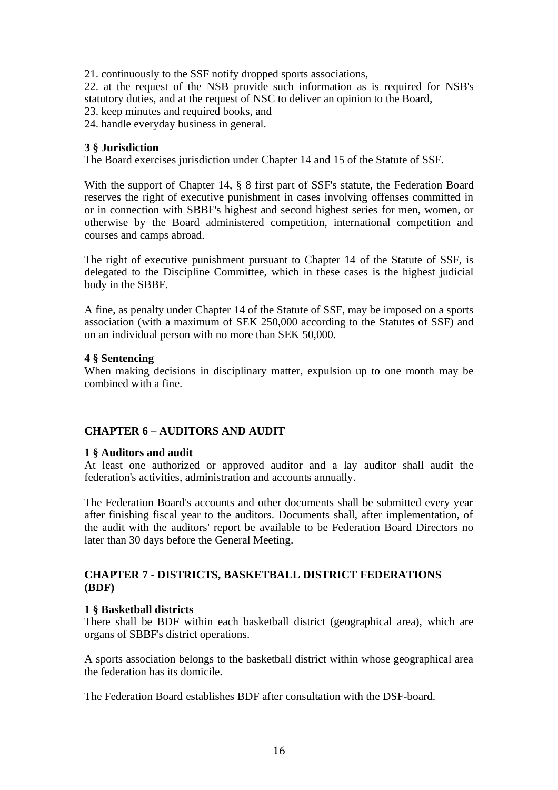21. continuously to the SSF notify dropped sports associations,

22. at the request of the NSB provide such information as is required for NSB's statutory duties, and at the request of NSC to deliver an opinion to the Board,

23. keep minutes and required books, and

24. handle everyday business in general.

### <span id="page-15-0"></span>**3 § Jurisdiction**

The Board exercises jurisdiction under Chapter 14 and 15 of the Statute of SSF.

With the support of Chapter 14, § 8 first part of SSF's statute, the Federation Board reserves the right of executive punishment in cases involving offenses committed in or in connection with SBBF's highest and second highest series for men, women, or otherwise by the Board administered competition, international competition and courses and camps abroad.

The right of executive punishment pursuant to Chapter 14 of the Statute of SSF, is delegated to the Discipline Committee, which in these cases is the highest judicial body in the SBBF.

A fine, as penalty under Chapter 14 of the Statute of SSF, may be imposed on a sports association (with a maximum of SEK 250,000 according to the Statutes of SSF) and on an individual person with no more than SEK 50,000.

#### <span id="page-15-1"></span>**4 § Sentencing**

When making decisions in disciplinary matter, expulsion up to one month may be combined with a fine.

## <span id="page-15-2"></span>**CHAPTER 6 – AUDITORS AND AUDIT**

#### <span id="page-15-3"></span>**1 § Auditors and audit**

At least one authorized or approved auditor and a lay auditor shall audit the federation's activities, administration and accounts annually.

The Federation Board's accounts and other documents shall be submitted every year after finishing fiscal year to the auditors. Documents shall, after implementation, of the audit with the auditors' report be available to be Federation Board Directors no later than 30 days before the General Meeting.

## <span id="page-15-4"></span>**CHAPTER 7 - DISTRICTS, BASKETBALL DISTRICT FEDERATIONS (BDF)**

#### <span id="page-15-5"></span>**1 § Basketball districts**

There shall be BDF within each basketball district (geographical area), which are organs of SBBF's district operations.

A sports association belongs to the basketball district within whose geographical area the federation has its domicile.

The Federation Board establishes BDF after consultation with the DSF-board.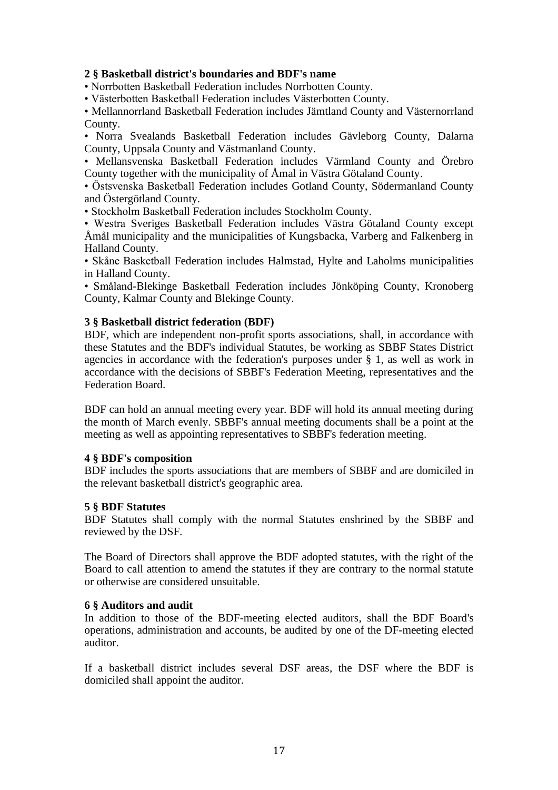### <span id="page-16-0"></span>**2 § Basketball district's boundaries and BDF's name**

• Norrbotten Basketball Federation includes Norrbotten County.

• Västerbotten Basketball Federation includes Västerbotten County.

• Mellannorrland Basketball Federation includes Jämtland County and Västernorrland County.

• Norra Svealands Basketball Federation includes Gävleborg County, Dalarna County, Uppsala County and Västmanland County.

• Mellansvenska Basketball Federation includes Värmland County and Örebro County together with the municipality of Åmal in Västra Götaland County.

• Östsvenska Basketball Federation includes Gotland County, Södermanland County and Östergötland County.

• Stockholm Basketball Federation includes Stockholm County.

• Westra Sveriges Basketball Federation includes Västra Götaland County except Åmål municipality and the municipalities of Kungsbacka, Varberg and Falkenberg in Halland County.

• Skåne Basketball Federation includes Halmstad, Hylte and Laholms municipalities in Halland County.

• Småland-Blekinge Basketball Federation includes Jönköping County, Kronoberg County, Kalmar County and Blekinge County.

#### <span id="page-16-1"></span>**3 § Basketball district federation (BDF)**

BDF, which are independent non-profit sports associations, shall, in accordance with these Statutes and the BDF's individual Statutes, be working as SBBF States District agencies in accordance with the federation's purposes under § 1, as well as work in accordance with the decisions of SBBF's Federation Meeting, representatives and the Federation Board.

BDF can hold an annual meeting every year. BDF will hold its annual meeting during the month of March evenly. SBBF's annual meeting documents shall be a point at the meeting as well as appointing representatives to SBBF's federation meeting.

### <span id="page-16-2"></span>**4 § BDF's composition**

BDF includes the sports associations that are members of SBBF and are domiciled in the relevant basketball district's geographic area.

#### <span id="page-16-3"></span>**5 § BDF Statutes**

BDF Statutes shall comply with the normal Statutes enshrined by the SBBF and reviewed by the DSF.

The Board of Directors shall approve the BDF adopted statutes, with the right of the Board to call attention to amend the statutes if they are contrary to the normal statute or otherwise are considered unsuitable.

#### <span id="page-16-4"></span>**6 § Auditors and audit**

In addition to those of the BDF-meeting elected auditors, shall the BDF Board's operations, administration and accounts, be audited by one of the DF-meeting elected auditor.

If a basketball district includes several DSF areas, the DSF where the BDF is domiciled shall appoint the auditor.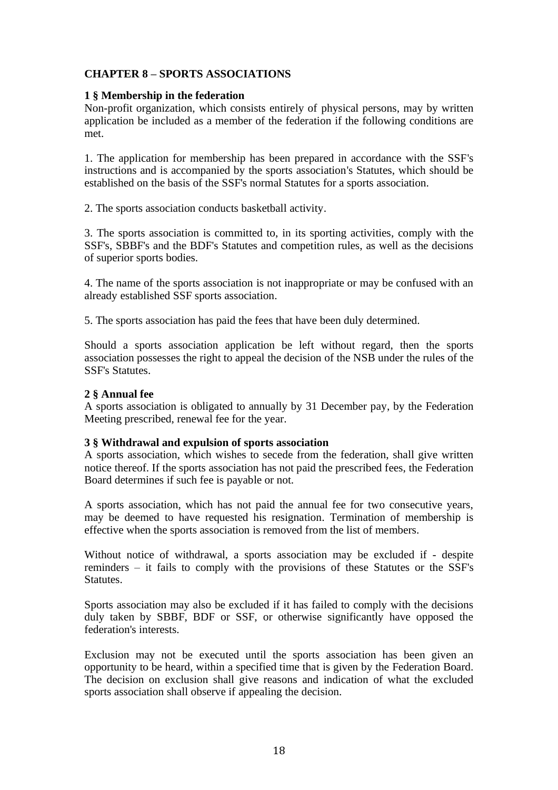# <span id="page-17-0"></span>**CHAPTER 8 – SPORTS ASSOCIATIONS**

### <span id="page-17-1"></span>**1 § Membership in the federation**

Non-profit organization, which consists entirely of physical persons, may by written application be included as a member of the federation if the following conditions are met.

1. The application for membership has been prepared in accordance with the SSF's instructions and is accompanied by the sports association's Statutes, which should be established on the basis of the SSF's normal Statutes for a sports association.

2. The sports association conducts basketball activity.

3. The sports association is committed to, in its sporting activities, comply with the SSF's, SBBF's and the BDF's Statutes and competition rules, as well as the decisions of superior sports bodies.

4. The name of the sports association is not inappropriate or may be confused with an already established SSF sports association.

5. The sports association has paid the fees that have been duly determined.

Should a sports association application be left without regard, then the sports association possesses the right to appeal the decision of the NSB under the rules of the SSF's Statutes.

### <span id="page-17-2"></span>**2 § Annual fee**

A sports association is obligated to annually by 31 December pay, by the Federation Meeting prescribed, renewal fee for the year.

#### <span id="page-17-3"></span>**3 § Withdrawal and expulsion of sports association**

A sports association, which wishes to secede from the federation, shall give written notice thereof. If the sports association has not paid the prescribed fees, the Federation Board determines if such fee is payable or not.

A sports association, which has not paid the annual fee for two consecutive years, may be deemed to have requested his resignation. Termination of membership is effective when the sports association is removed from the list of members.

Without notice of withdrawal, a sports association may be excluded if - despite reminders – it fails to comply with the provisions of these Statutes or the SSF's Statutes.

Sports association may also be excluded if it has failed to comply with the decisions duly taken by SBBF, BDF or SSF, or otherwise significantly have opposed the federation's interests.

Exclusion may not be executed until the sports association has been given an opportunity to be heard, within a specified time that is given by the Federation Board. The decision on exclusion shall give reasons and indication of what the excluded sports association shall observe if appealing the decision.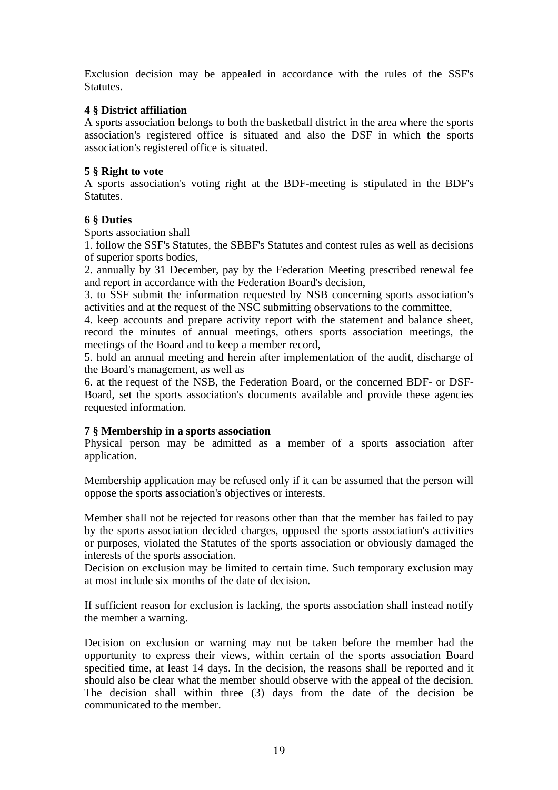Exclusion decision may be appealed in accordance with the rules of the SSF's Statutes.

# <span id="page-18-0"></span>**4 § District affiliation**

A sports association belongs to both the basketball district in the area where the sports association's registered office is situated and also the DSF in which the sports association's registered office is situated.

# <span id="page-18-1"></span>**5 § Right to vote**

A sports association's voting right at the BDF-meeting is stipulated in the BDF's Statutes.

## <span id="page-18-2"></span>**6 § Duties**

Sports association shall

1. follow the SSF's Statutes, the SBBF's Statutes and contest rules as well as decisions of superior sports bodies,

2. annually by 31 December, pay by the Federation Meeting prescribed renewal fee and report in accordance with the Federation Board's decision,

3. to SSF submit the information requested by NSB concerning sports association's activities and at the request of the NSC submitting observations to the committee,

4. keep accounts and prepare activity report with the statement and balance sheet, record the minutes of annual meetings, others sports association meetings, the meetings of the Board and to keep a member record,

5. hold an annual meeting and herein after implementation of the audit, discharge of the Board's management, as well as

6. at the request of the NSB, the Federation Board, or the concerned BDF- or DSF-Board, set the sports association's documents available and provide these agencies requested information.

## <span id="page-18-3"></span>**7 § Membership in a sports association**

Physical person may be admitted as a member of a sports association after application.

Membership application may be refused only if it can be assumed that the person will oppose the sports association's objectives or interests.

Member shall not be rejected for reasons other than that the member has failed to pay by the sports association decided charges, opposed the sports association's activities or purposes, violated the Statutes of the sports association or obviously damaged the interests of the sports association.

Decision on exclusion may be limited to certain time. Such temporary exclusion may at most include six months of the date of decision.

If sufficient reason for exclusion is lacking, the sports association shall instead notify the member a warning.

Decision on exclusion or warning may not be taken before the member had the opportunity to express their views, within certain of the sports association Board specified time, at least 14 days. In the decision, the reasons shall be reported and it should also be clear what the member should observe with the appeal of the decision. The decision shall within three (3) days from the date of the decision be communicated to the member.